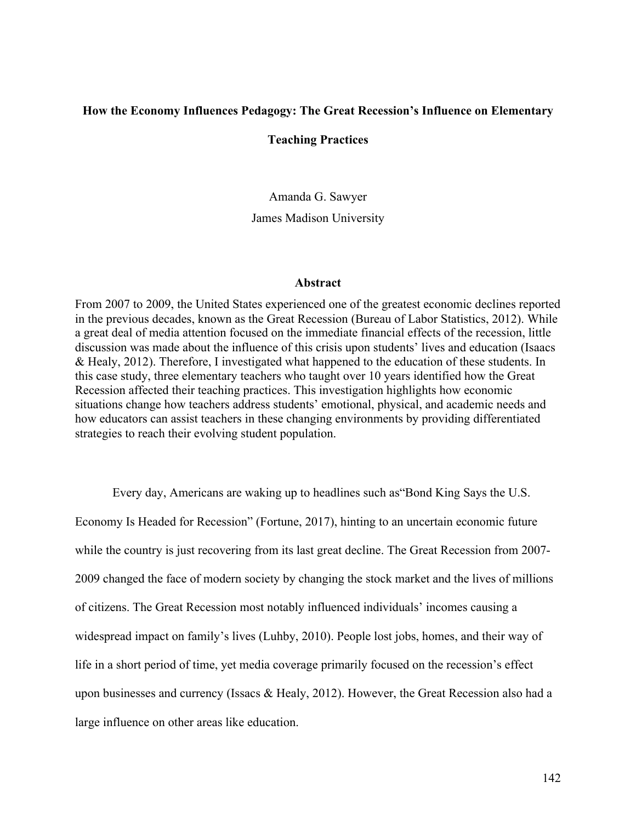## **How the Economy Influences Pedagogy: The Great Recession's Influence on Elementary**

### **Teaching Practices**

Amanda G. Sawyer

James Madison University

#### **Abstract**

From 2007 to 2009, the United States experienced one of the greatest economic declines reported in the previous decades, known as the Great Recession (Bureau of Labor Statistics, 2012). While a great deal of media attention focused on the immediate financial effects of the recession, little discussion was made about the influence of this crisis upon students' lives and education (Isaacs & Healy, 2012). Therefore, I investigated what happened to the education of these students. In this case study, three elementary teachers who taught over 10 years identified how the Great Recession affected their teaching practices. This investigation highlights how economic situations change how teachers address students' emotional, physical, and academic needs and how educators can assist teachers in these changing environments by providing differentiated strategies to reach their evolving student population.

Every day, Americans are waking up to headlines such as"Bond King Says the U.S. Economy Is Headed for Recession" (Fortune, 2017), hinting to an uncertain economic future while the country is just recovering from its last great decline. The Great Recession from 2007- 2009 changed the face of modern society by changing the stock market and the lives of millions of citizens. The Great Recession most notably influenced individuals' incomes causing a widespread impact on family's lives (Luhby, 2010). People lost jobs, homes, and their way of life in a short period of time, yet media coverage primarily focused on the recession's effect upon businesses and currency (Issacs & Healy, 2012). However, the Great Recession also had a large influence on other areas like education.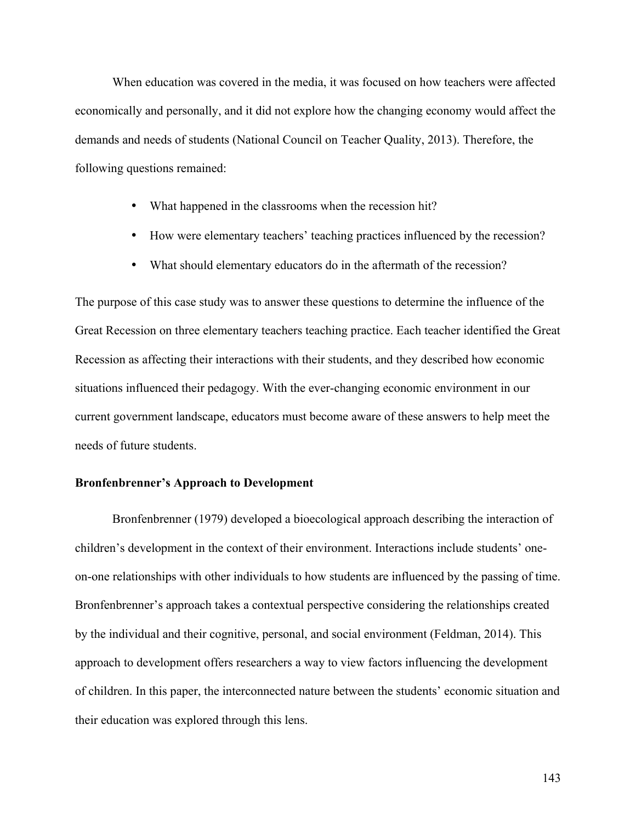When education was covered in the media, it was focused on how teachers were affected economically and personally, and it did not explore how the changing economy would affect the demands and needs of students (National Council on Teacher Quality, 2013). Therefore, the following questions remained:

- What happened in the classrooms when the recession hit?
- How were elementary teachers' teaching practices influenced by the recession?
- What should elementary educators do in the aftermath of the recession?

The purpose of this case study was to answer these questions to determine the influence of the Great Recession on three elementary teachers teaching practice. Each teacher identified the Great Recession as affecting their interactions with their students, and they described how economic situations influenced their pedagogy. With the ever-changing economic environment in our current government landscape, educators must become aware of these answers to help meet the needs of future students.

### **Bronfenbrenner's Approach to Development**

Bronfenbrenner (1979) developed a bioecological approach describing the interaction of children's development in the context of their environment. Interactions include students' oneon-one relationships with other individuals to how students are influenced by the passing of time. Bronfenbrenner's approach takes a contextual perspective considering the relationships created by the individual and their cognitive, personal, and social environment (Feldman, 2014). This approach to development offers researchers a way to view factors influencing the development of children. In this paper, the interconnected nature between the students' economic situation and their education was explored through this lens.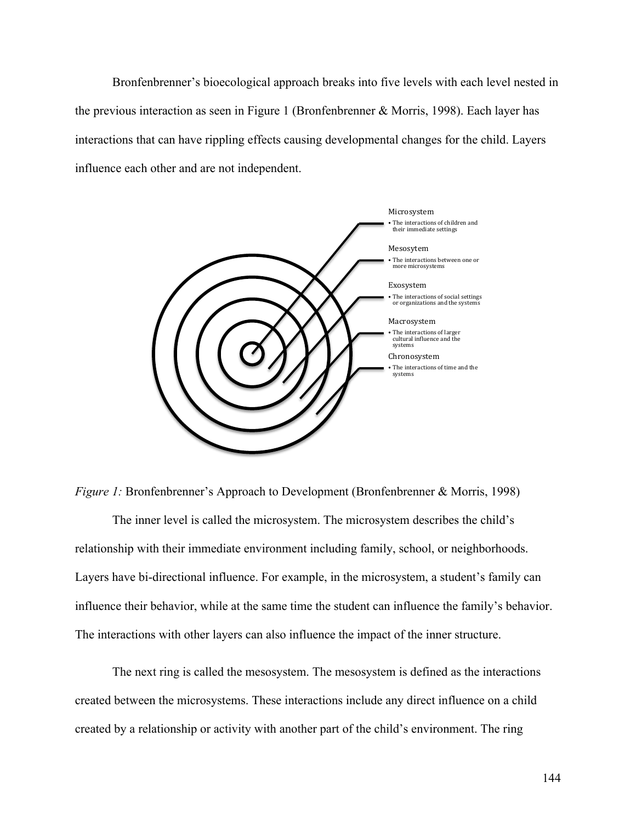Bronfenbrenner's bioecological approach breaks into five levels with each level nested in the previous interaction as seen in Figure 1 (Bronfenbrenner & Morris, 1998). Each layer has interactions that can have rippling effects causing developmental changes for the child. Layers influence each other and are not independent.



*Figure 1:* Bronfenbrenner's Approach to Development (Bronfenbrenner & Morris, 1998)

The inner level is called the microsystem. The microsystem describes the child's relationship with their immediate environment including family, school, or neighborhoods. Layers have bi-directional influence. For example, in the microsystem, a student's family can influence their behavior, while at the same time the student can influence the family's behavior. The interactions with other layers can also influence the impact of the inner structure.

The next ring is called the mesosystem. The mesosystem is defined as the interactions created between the microsystems. These interactions include any direct influence on a child created by a relationship or activity with another part of the child's environment. The ring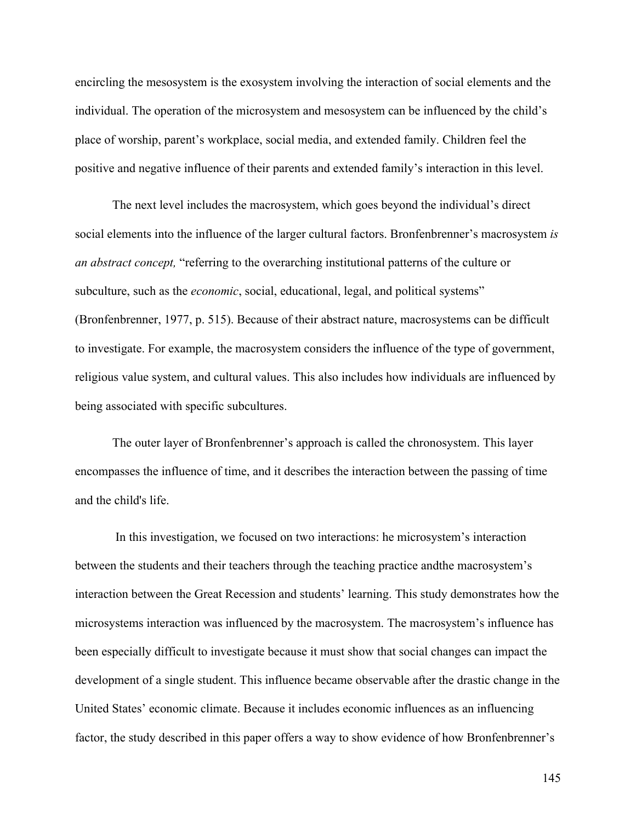encircling the mesosystem is the exosystem involving the interaction of social elements and the individual. The operation of the microsystem and mesosystem can be influenced by the child's place of worship, parent's workplace, social media, and extended family. Children feel the positive and negative influence of their parents and extended family's interaction in this level.

The next level includes the macrosystem, which goes beyond the individual's direct social elements into the influence of the larger cultural factors. Bronfenbrenner's macrosystem *is an abstract concept,* "referring to the overarching institutional patterns of the culture or subculture, such as the *economic*, social, educational, legal, and political systems" (Bronfenbrenner, 1977, p. 515). Because of their abstract nature, macrosystems can be difficult to investigate. For example, the macrosystem considers the influence of the type of government, religious value system, and cultural values. This also includes how individuals are influenced by being associated with specific subcultures.

The outer layer of Bronfenbrenner's approach is called the chronosystem. This layer encompasses the influence of time, and it describes the interaction between the passing of time and the child's life.

In this investigation, we focused on two interactions: he microsystem's interaction between the students and their teachers through the teaching practice andthe macrosystem's interaction between the Great Recession and students' learning. This study demonstrates how the microsystems interaction was influenced by the macrosystem. The macrosystem's influence has been especially difficult to investigate because it must show that social changes can impact the development of a single student. This influence became observable after the drastic change in the United States' economic climate. Because it includes economic influences as an influencing factor, the study described in this paper offers a way to show evidence of how Bronfenbrenner's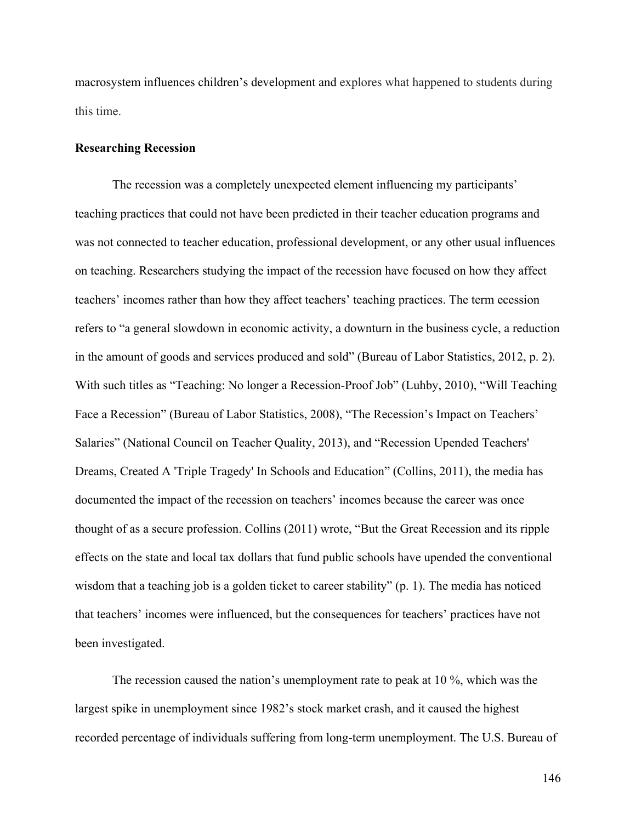macrosystem influences children's development and explores what happened to students during this time.

### **Researching Recession**

The recession was a completely unexpected element influencing my participants' teaching practices that could not have been predicted in their teacher education programs and was not connected to teacher education, professional development, or any other usual influences on teaching. Researchers studying the impact of the recession have focused on how they affect teachers' incomes rather than how they affect teachers' teaching practices. The term ecession refers to "a general slowdown in economic activity, a downturn in the business cycle, a reduction in the amount of goods and services produced and sold" (Bureau of Labor Statistics, 2012, p. 2). With such titles as "Teaching: No longer a Recession-Proof Job" (Luhby, 2010), "Will Teaching Face a Recession" (Bureau of Labor Statistics, 2008), "The Recession's Impact on Teachers' Salaries" (National Council on Teacher Quality, 2013), and "Recession Upended Teachers' Dreams, Created A 'Triple Tragedy' In Schools and Education" (Collins, 2011), the media has documented the impact of the recession on teachers' incomes because the career was once thought of as a secure profession. Collins (2011) wrote, "But the Great Recession and its ripple effects on the state and local tax dollars that fund public schools have upended the conventional wisdom that a teaching job is a golden ticket to career stability" (p. 1). The media has noticed that teachers' incomes were influenced, but the consequences for teachers' practices have not been investigated.

The recession caused the nation's unemployment rate to peak at 10 %, which was the largest spike in unemployment since 1982's stock market crash, and it caused the highest recorded percentage of individuals suffering from long-term unemployment. The U.S. Bureau of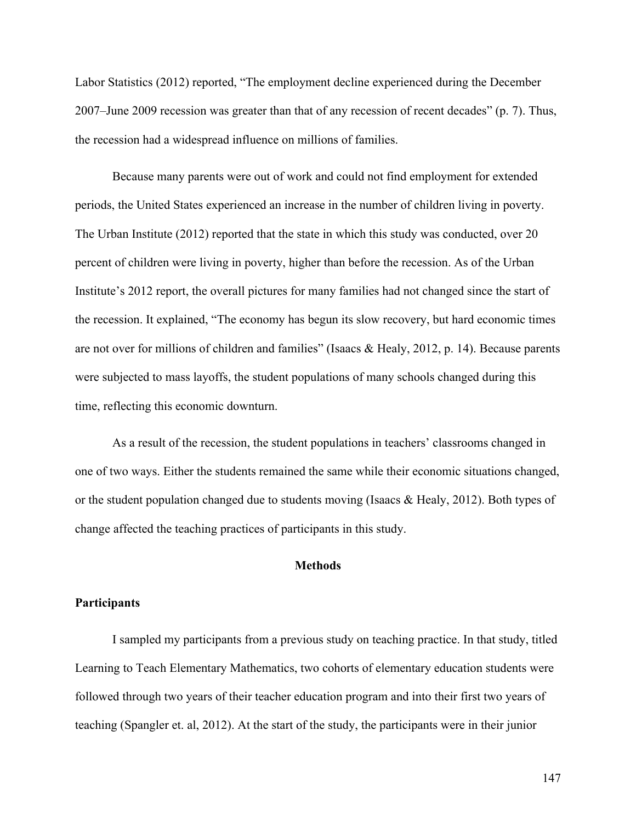Labor Statistics (2012) reported, "The employment decline experienced during the December 2007–June 2009 recession was greater than that of any recession of recent decades" (p. 7). Thus, the recession had a widespread influence on millions of families.

Because many parents were out of work and could not find employment for extended periods, the United States experienced an increase in the number of children living in poverty. The Urban Institute (2012) reported that the state in which this study was conducted, over 20 percent of children were living in poverty, higher than before the recession. As of the Urban Institute's 2012 report, the overall pictures for many families had not changed since the start of the recession. It explained, "The economy has begun its slow recovery, but hard economic times are not over for millions of children and families" (Isaacs & Healy, 2012, p. 14). Because parents were subjected to mass layoffs, the student populations of many schools changed during this time, reflecting this economic downturn.

As a result of the recession, the student populations in teachers' classrooms changed in one of two ways. Either the students remained the same while their economic situations changed, or the student population changed due to students moving (Isaacs  $\&$  Healy, 2012). Both types of change affected the teaching practices of participants in this study.

# **Methods**

### **Participants**

I sampled my participants from a previous study on teaching practice. In that study, titled Learning to Teach Elementary Mathematics, two cohorts of elementary education students were followed through two years of their teacher education program and into their first two years of teaching (Spangler et. al, 2012). At the start of the study, the participants were in their junior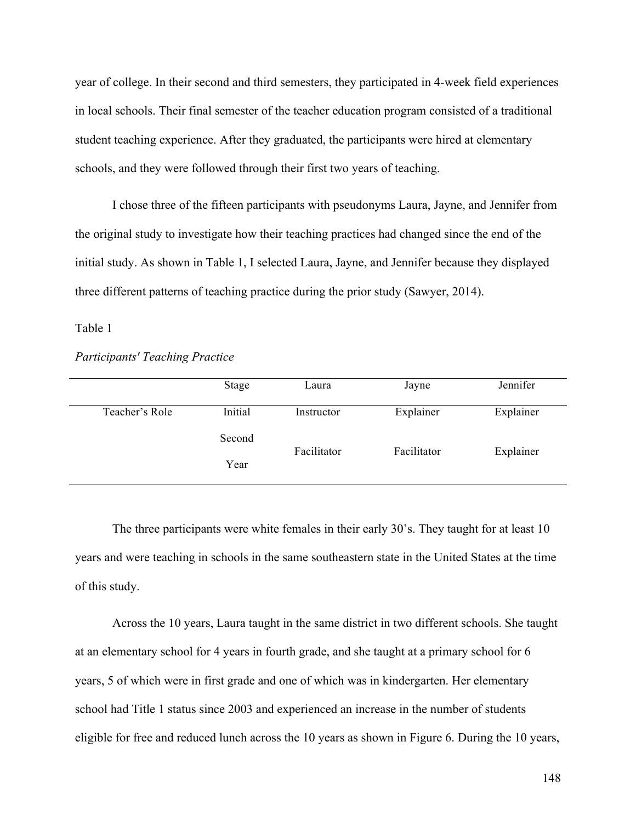year of college. In their second and third semesters, they participated in 4-week field experiences in local schools. Their final semester of the teacher education program consisted of a traditional student teaching experience. After they graduated, the participants were hired at elementary schools, and they were followed through their first two years of teaching.

I chose three of the fifteen participants with pseudonyms Laura, Jayne, and Jennifer from the original study to investigate how their teaching practices had changed since the end of the initial study. As shown in Table 1, I selected Laura, Jayne, and Jennifer because they displayed three different patterns of teaching practice during the prior study (Sawyer, 2014).

## Table 1

#### *Participants' Teaching Practice*

|                | Stage   | Laura       | Jayne       | Jennifer  |
|----------------|---------|-------------|-------------|-----------|
| Teacher's Role | Initial | Instructor  | Explainer   | Explainer |
|                | Second  | Facilitator | Facilitator | Explainer |
| Year           |         |             |             |           |

The three participants were white females in their early 30's. They taught for at least 10 years and were teaching in schools in the same southeastern state in the United States at the time of this study.

Across the 10 years, Laura taught in the same district in two different schools. She taught at an elementary school for 4 years in fourth grade, and she taught at a primary school for 6 years, 5 of which were in first grade and one of which was in kindergarten. Her elementary school had Title 1 status since 2003 and experienced an increase in the number of students eligible for free and reduced lunch across the 10 years as shown in Figure 6. During the 10 years,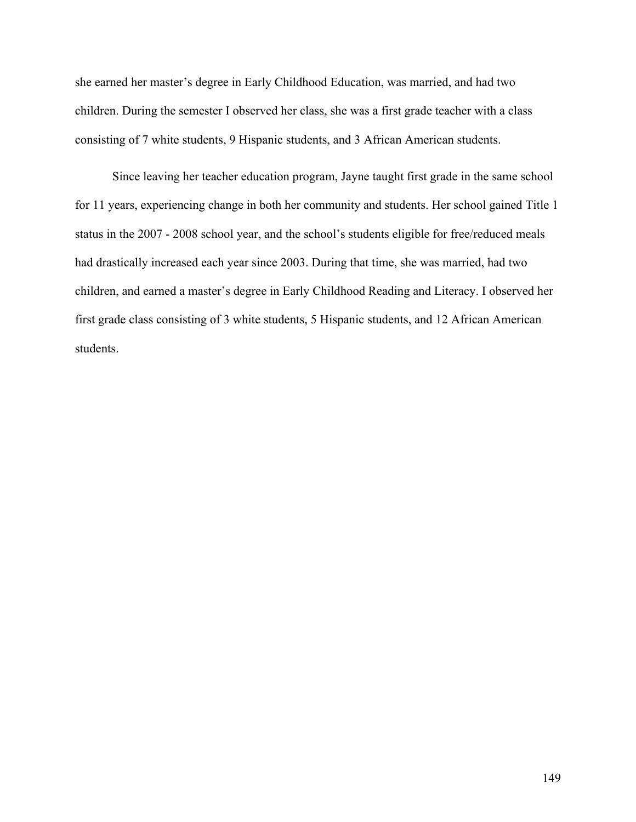she earned her master's degree in Early Childhood Education, was married, and had two children. During the semester I observed her class, she was a first grade teacher with a class consisting of 7 white students, 9 Hispanic students, and 3 African American students.

Since leaving her teacher education program, Jayne taught first grade in the same school for 11 years, experiencing change in both her community and students. Her school gained Title 1 status in the 2007 - 2008 school year, and the school's students eligible for free/reduced meals had drastically increased each year since 2003. During that time, she was married, had two children, and earned a master's degree in Early Childhood Reading and Literacy. I observed her first grade class consisting of 3 white students, 5 Hispanic students, and 12 African American students.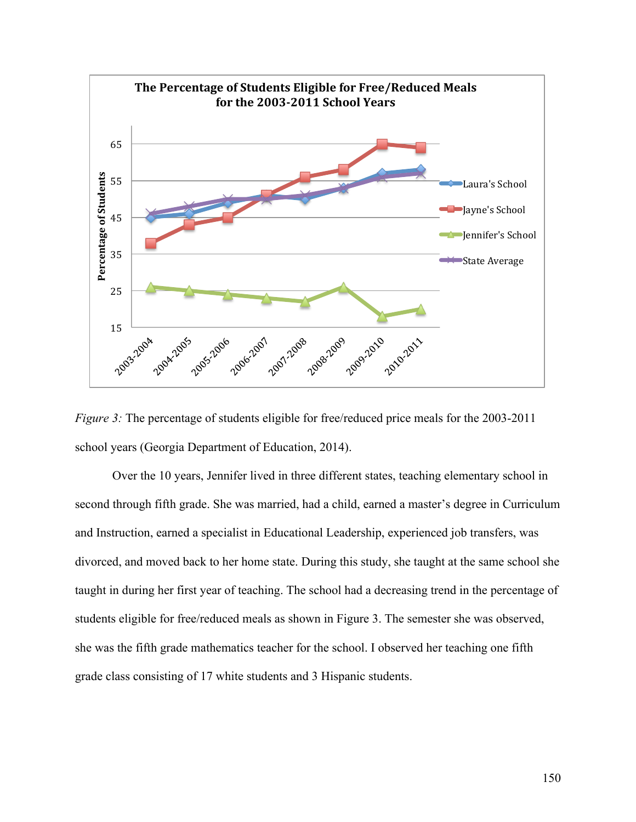



Over the 10 years, Jennifer lived in three different states, teaching elementary school in second through fifth grade. She was married, had a child, earned a master's degree in Curriculum and Instruction, earned a specialist in Educational Leadership, experienced job transfers, was divorced, and moved back to her home state. During this study, she taught at the same school she taught in during her first year of teaching. The school had a decreasing trend in the percentage of students eligible for free/reduced meals as shown in Figure 3. The semester she was observed, she was the fifth grade mathematics teacher for the school. I observed her teaching one fifth grade class consisting of 17 white students and 3 Hispanic students.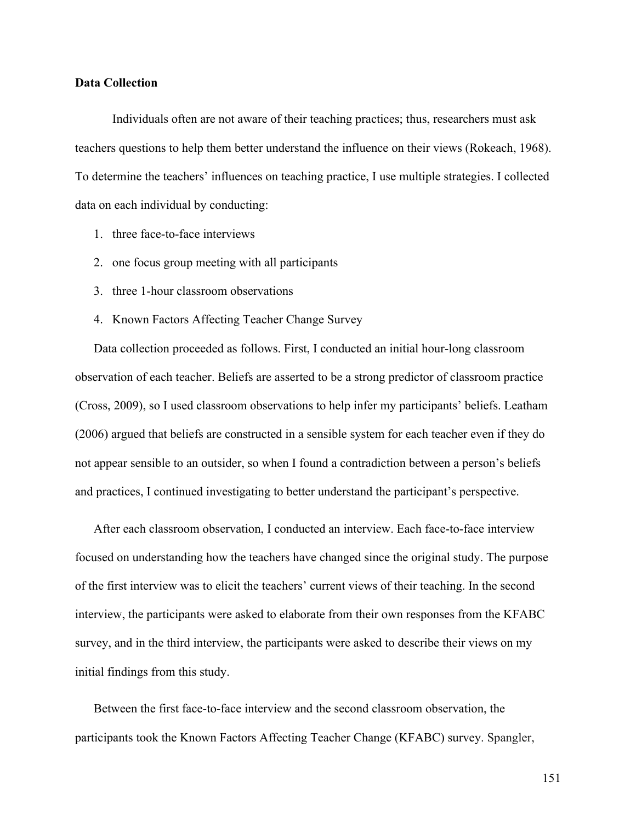### **Data Collection**

Individuals often are not aware of their teaching practices; thus, researchers must ask teachers questions to help them better understand the influence on their views (Rokeach, 1968). To determine the teachers' influences on teaching practice, I use multiple strategies. I collected data on each individual by conducting:

- 1. three face-to-face interviews
- 2. one focus group meeting with all participants
- 3. three 1-hour classroom observations
- 4. Known Factors Affecting Teacher Change Survey

Data collection proceeded as follows. First, I conducted an initial hour-long classroom observation of each teacher. Beliefs are asserted to be a strong predictor of classroom practice (Cross, 2009), so I used classroom observations to help infer my participants' beliefs. Leatham (2006) argued that beliefs are constructed in a sensible system for each teacher even if they do not appear sensible to an outsider, so when I found a contradiction between a person's beliefs and practices, I continued investigating to better understand the participant's perspective.

After each classroom observation, I conducted an interview. Each face-to-face interview focused on understanding how the teachers have changed since the original study. The purpose of the first interview was to elicit the teachers' current views of their teaching. In the second interview, the participants were asked to elaborate from their own responses from the KFABC survey, and in the third interview, the participants were asked to describe their views on my initial findings from this study.

Between the first face-to-face interview and the second classroom observation, the participants took the Known Factors Affecting Teacher Change (KFABC) survey. Spangler,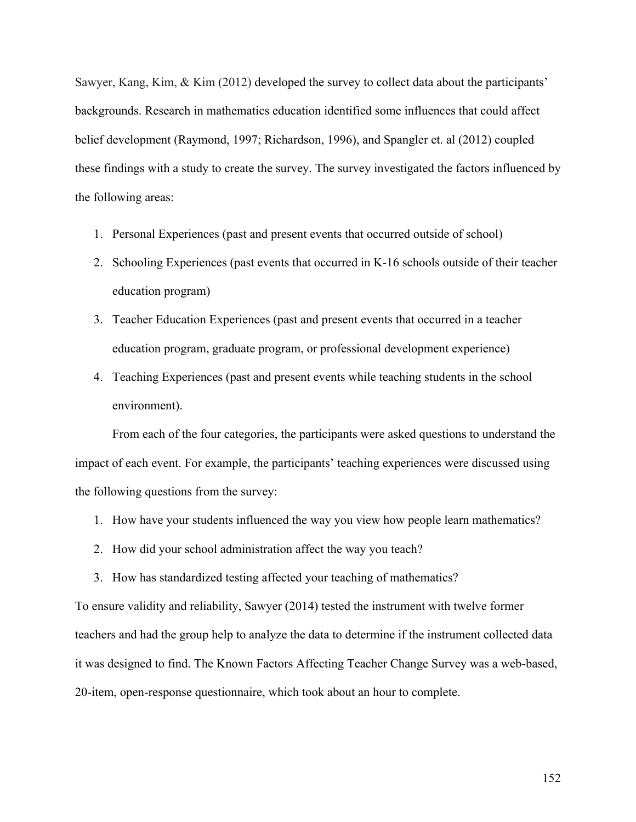Sawyer, Kang, Kim, & Kim (2012) developed the survey to collect data about the participants' backgrounds. Research in mathematics education identified some influences that could affect belief development (Raymond, 1997; Richardson, 1996), and Spangler et. al (2012) coupled these findings with a study to create the survey. The survey investigated the factors influenced by the following areas:

- 1. Personal Experiences (past and present events that occurred outside of school)
- 2. Schooling Experiences (past events that occurred in K-16 schools outside of their teacher education program)
- 3. Teacher Education Experiences (past and present events that occurred in a teacher education program, graduate program, or professional development experience)
- 4. Teaching Experiences (past and present events while teaching students in the school environment).

From each of the four categories, the participants were asked questions to understand the impact of each event. For example, the participants' teaching experiences were discussed using the following questions from the survey:

- 1. How have your students influenced the way you view how people learn mathematics?
- 2. How did your school administration affect the way you teach?
- 3. How has standardized testing affected your teaching of mathematics?

To ensure validity and reliability, Sawyer (2014) tested the instrument with twelve former teachers and had the group help to analyze the data to determine if the instrument collected data it was designed to find. The Known Factors Affecting Teacher Change Survey was a web-based, 20-item, open-response questionnaire, which took about an hour to complete.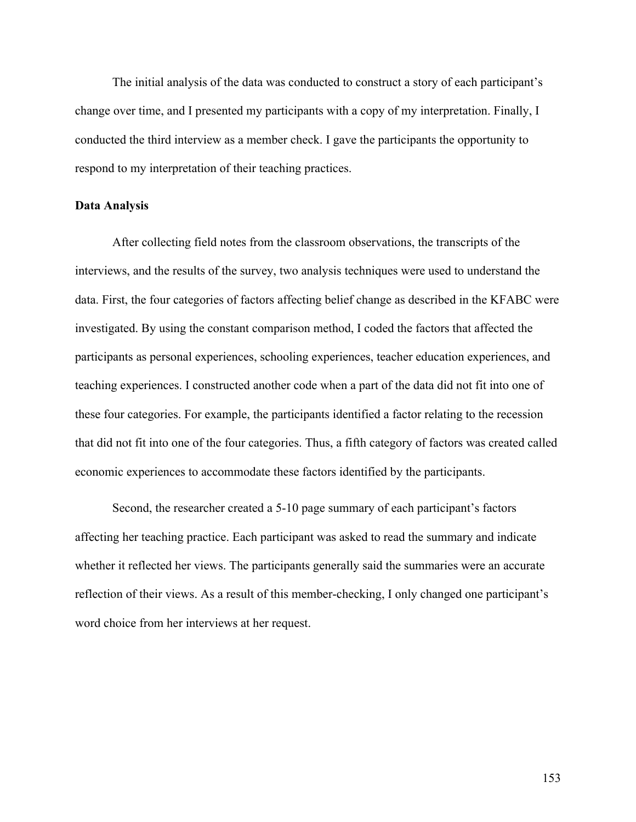The initial analysis of the data was conducted to construct a story of each participant's change over time, and I presented my participants with a copy of my interpretation. Finally, I conducted the third interview as a member check. I gave the participants the opportunity to respond to my interpretation of their teaching practices.

## **Data Analysis**

After collecting field notes from the classroom observations, the transcripts of the interviews, and the results of the survey, two analysis techniques were used to understand the data. First, the four categories of factors affecting belief change as described in the KFABC were investigated. By using the constant comparison method, I coded the factors that affected the participants as personal experiences, schooling experiences, teacher education experiences, and teaching experiences. I constructed another code when a part of the data did not fit into one of these four categories. For example, the participants identified a factor relating to the recession that did not fit into one of the four categories. Thus, a fifth category of factors was created called economic experiences to accommodate these factors identified by the participants.

Second, the researcher created a 5-10 page summary of each participant's factors affecting her teaching practice. Each participant was asked to read the summary and indicate whether it reflected her views. The participants generally said the summaries were an accurate reflection of their views. As a result of this member-checking, I only changed one participant's word choice from her interviews at her request.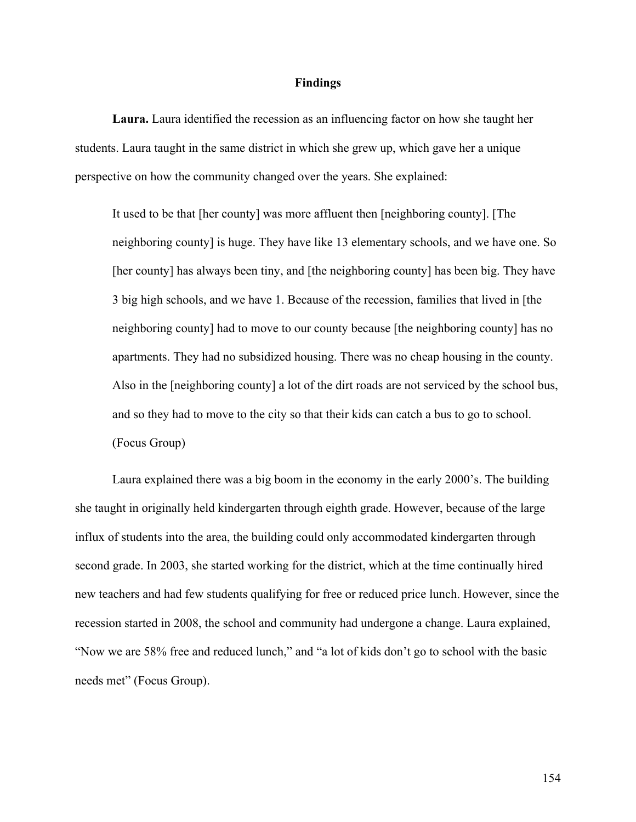### **Findings**

**Laura.** Laura identified the recession as an influencing factor on how she taught her students. Laura taught in the same district in which she grew up, which gave her a unique perspective on how the community changed over the years. She explained:

It used to be that [her county] was more affluent then [neighboring county]. [The neighboring county] is huge. They have like 13 elementary schools, and we have one. So [her county] has always been tiny, and [the neighboring county] has been big. They have 3 big high schools, and we have 1. Because of the recession, families that lived in [the neighboring county] had to move to our county because [the neighboring county] has no apartments. They had no subsidized housing. There was no cheap housing in the county. Also in the [neighboring county] a lot of the dirt roads are not serviced by the school bus, and so they had to move to the city so that their kids can catch a bus to go to school. (Focus Group)

Laura explained there was a big boom in the economy in the early 2000's. The building she taught in originally held kindergarten through eighth grade. However, because of the large influx of students into the area, the building could only accommodated kindergarten through second grade. In 2003, she started working for the district, which at the time continually hired new teachers and had few students qualifying for free or reduced price lunch. However, since the recession started in 2008, the school and community had undergone a change. Laura explained, "Now we are 58% free and reduced lunch," and "a lot of kids don't go to school with the basic needs met" (Focus Group).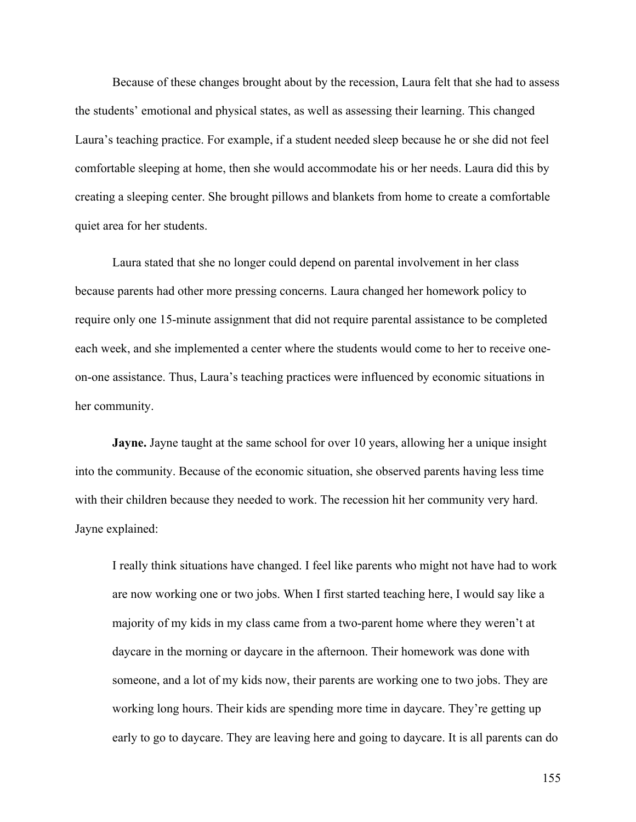Because of these changes brought about by the recession, Laura felt that she had to assess the students' emotional and physical states, as well as assessing their learning. This changed Laura's teaching practice. For example, if a student needed sleep because he or she did not feel comfortable sleeping at home, then she would accommodate his or her needs. Laura did this by creating a sleeping center. She brought pillows and blankets from home to create a comfortable quiet area for her students.

Laura stated that she no longer could depend on parental involvement in her class because parents had other more pressing concerns. Laura changed her homework policy to require only one 15-minute assignment that did not require parental assistance to be completed each week, and she implemented a center where the students would come to her to receive oneon-one assistance. Thus, Laura's teaching practices were influenced by economic situations in her community.

**Jayne.** Jayne taught at the same school for over 10 years, allowing her a unique insight into the community. Because of the economic situation, she observed parents having less time with their children because they needed to work. The recession hit her community very hard. Jayne explained:

I really think situations have changed. I feel like parents who might not have had to work are now working one or two jobs. When I first started teaching here, I would say like a majority of my kids in my class came from a two-parent home where they weren't at daycare in the morning or daycare in the afternoon. Their homework was done with someone, and a lot of my kids now, their parents are working one to two jobs. They are working long hours. Their kids are spending more time in daycare. They're getting up early to go to daycare. They are leaving here and going to daycare. It is all parents can do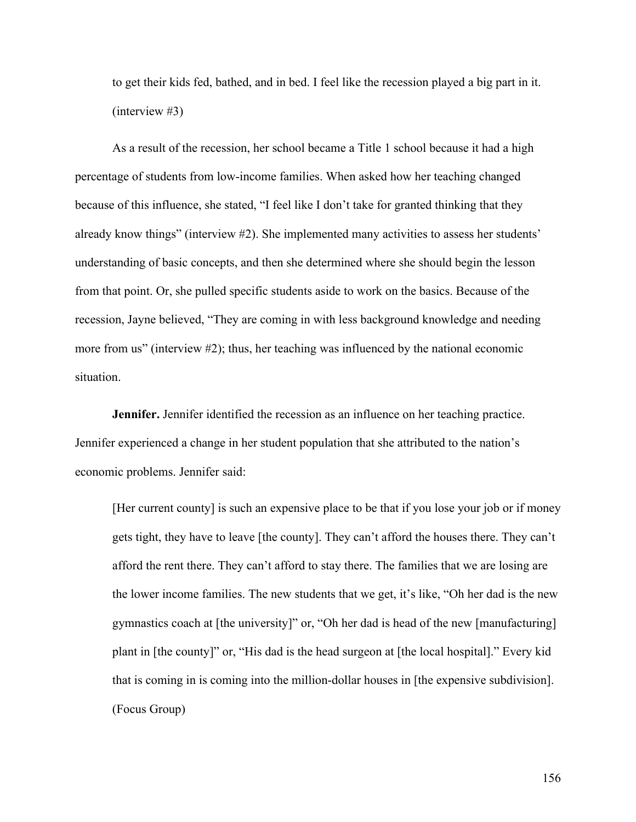to get their kids fed, bathed, and in bed. I feel like the recession played a big part in it. (interview #3)

As a result of the recession, her school became a Title 1 school because it had a high percentage of students from low-income families. When asked how her teaching changed because of this influence, she stated, "I feel like I don't take for granted thinking that they already know things" (interview #2). She implemented many activities to assess her students' understanding of basic concepts, and then she determined where she should begin the lesson from that point. Or, she pulled specific students aside to work on the basics. Because of the recession, Jayne believed, "They are coming in with less background knowledge and needing more from us" (interview #2); thus, her teaching was influenced by the national economic situation.

**Jennifer.** Jennifer identified the recession as an influence on her teaching practice. Jennifer experienced a change in her student population that she attributed to the nation's economic problems. Jennifer said:

[Her current county] is such an expensive place to be that if you lose your job or if money gets tight, they have to leave [the county]. They can't afford the houses there. They can't afford the rent there. They can't afford to stay there. The families that we are losing are the lower income families. The new students that we get, it's like, "Oh her dad is the new gymnastics coach at [the university]" or, "Oh her dad is head of the new [manufacturing] plant in [the county]" or, "His dad is the head surgeon at [the local hospital]." Every kid that is coming in is coming into the million-dollar houses in [the expensive subdivision]. (Focus Group)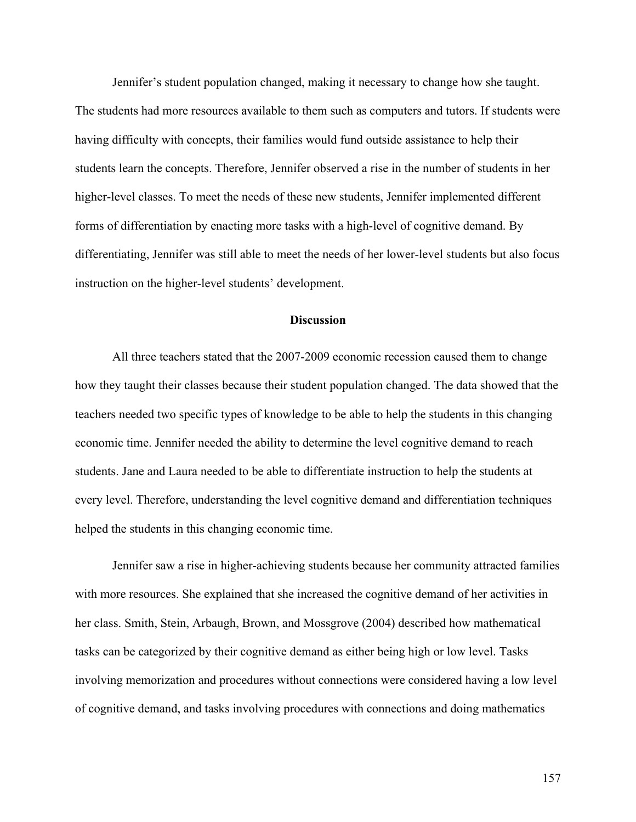Jennifer's student population changed, making it necessary to change how she taught. The students had more resources available to them such as computers and tutors. If students were having difficulty with concepts, their families would fund outside assistance to help their students learn the concepts. Therefore, Jennifer observed a rise in the number of students in her higher-level classes. To meet the needs of these new students, Jennifer implemented different forms of differentiation by enacting more tasks with a high-level of cognitive demand. By differentiating, Jennifer was still able to meet the needs of her lower-level students but also focus instruction on the higher-level students' development.

# **Discussion**

All three teachers stated that the 2007-2009 economic recession caused them to change how they taught their classes because their student population changed. The data showed that the teachers needed two specific types of knowledge to be able to help the students in this changing economic time. Jennifer needed the ability to determine the level cognitive demand to reach students. Jane and Laura needed to be able to differentiate instruction to help the students at every level. Therefore, understanding the level cognitive demand and differentiation techniques helped the students in this changing economic time.

Jennifer saw a rise in higher-achieving students because her community attracted families with more resources. She explained that she increased the cognitive demand of her activities in her class. Smith, Stein, Arbaugh, Brown, and Mossgrove (2004) described how mathematical tasks can be categorized by their cognitive demand as either being high or low level. Tasks involving memorization and procedures without connections were considered having a low level of cognitive demand, and tasks involving procedures with connections and doing mathematics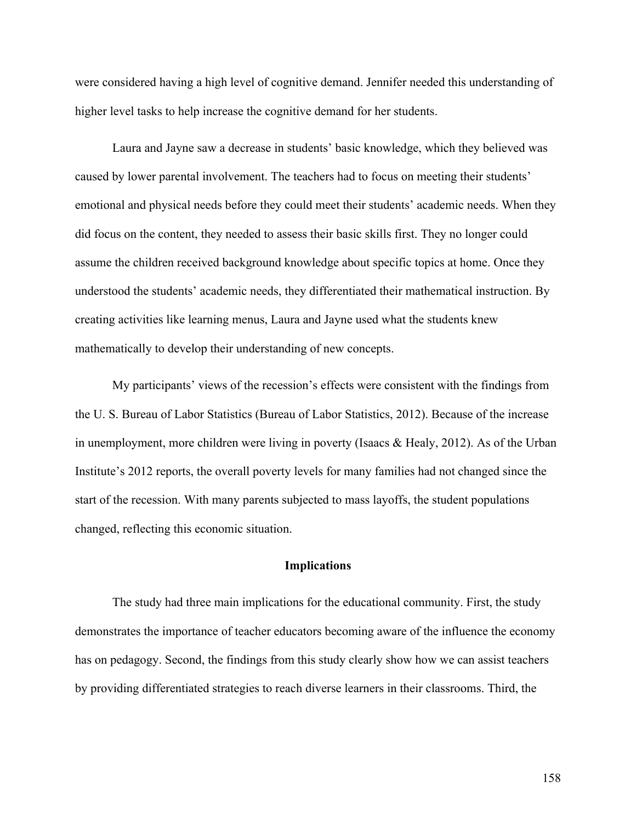were considered having a high level of cognitive demand. Jennifer needed this understanding of higher level tasks to help increase the cognitive demand for her students.

Laura and Jayne saw a decrease in students' basic knowledge, which they believed was caused by lower parental involvement. The teachers had to focus on meeting their students' emotional and physical needs before they could meet their students' academic needs. When they did focus on the content, they needed to assess their basic skills first. They no longer could assume the children received background knowledge about specific topics at home. Once they understood the students' academic needs, they differentiated their mathematical instruction. By creating activities like learning menus, Laura and Jayne used what the students knew mathematically to develop their understanding of new concepts.

My participants' views of the recession's effects were consistent with the findings from the U. S. Bureau of Labor Statistics (Bureau of Labor Statistics, 2012). Because of the increase in unemployment, more children were living in poverty (Isaacs & Healy, 2012). As of the Urban Institute's 2012 reports, the overall poverty levels for many families had not changed since the start of the recession. With many parents subjected to mass layoffs, the student populations changed, reflecting this economic situation.

### **Implications**

The study had three main implications for the educational community. First, the study demonstrates the importance of teacher educators becoming aware of the influence the economy has on pedagogy. Second, the findings from this study clearly show how we can assist teachers by providing differentiated strategies to reach diverse learners in their classrooms. Third, the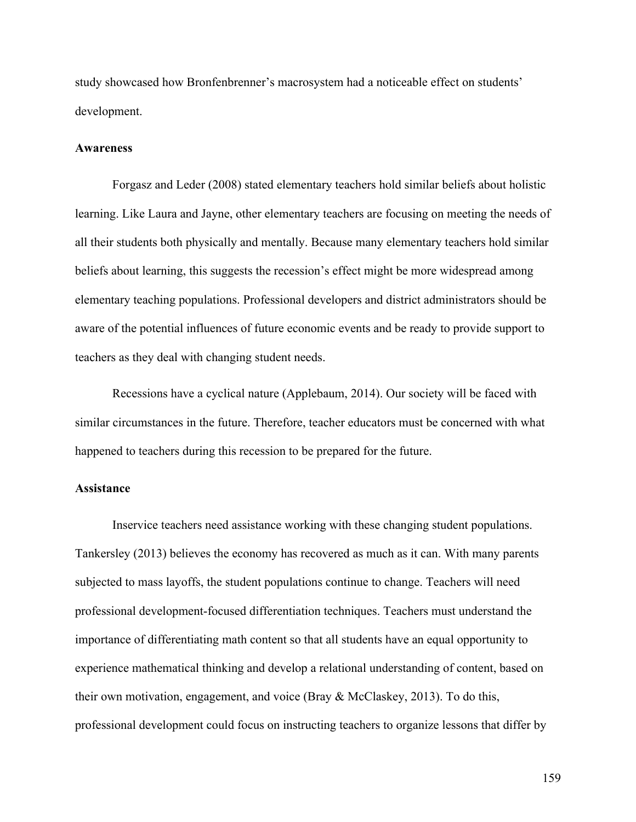study showcased how Bronfenbrenner's macrosystem had a noticeable effect on students' development.

## **Awareness**

Forgasz and Leder (2008) stated elementary teachers hold similar beliefs about holistic learning. Like Laura and Jayne, other elementary teachers are focusing on meeting the needs of all their students both physically and mentally. Because many elementary teachers hold similar beliefs about learning, this suggests the recession's effect might be more widespread among elementary teaching populations. Professional developers and district administrators should be aware of the potential influences of future economic events and be ready to provide support to teachers as they deal with changing student needs.

Recessions have a cyclical nature (Applebaum, 2014). Our society will be faced with similar circumstances in the future. Therefore, teacher educators must be concerned with what happened to teachers during this recession to be prepared for the future.

# **Assistance**

Inservice teachers need assistance working with these changing student populations. Tankersley (2013) believes the economy has recovered as much as it can. With many parents subjected to mass layoffs, the student populations continue to change. Teachers will need professional development-focused differentiation techniques. Teachers must understand the importance of differentiating math content so that all students have an equal opportunity to experience mathematical thinking and develop a relational understanding of content, based on their own motivation, engagement, and voice (Bray & McClaskey, 2013). To do this, professional development could focus on instructing teachers to organize lessons that differ by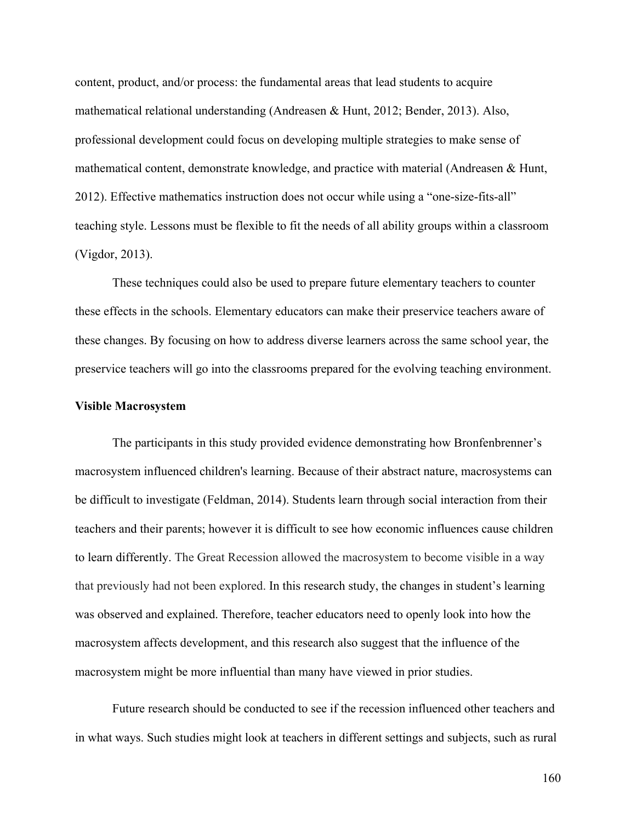content, product, and/or process: the fundamental areas that lead students to acquire mathematical relational understanding (Andreasen & Hunt, 2012; Bender, 2013). Also, professional development could focus on developing multiple strategies to make sense of mathematical content, demonstrate knowledge, and practice with material (Andreasen & Hunt, 2012). Effective mathematics instruction does not occur while using a "one-size-fits-all" teaching style. Lessons must be flexible to fit the needs of all ability groups within a classroom (Vigdor, 2013).

These techniques could also be used to prepare future elementary teachers to counter these effects in the schools. Elementary educators can make their preservice teachers aware of these changes. By focusing on how to address diverse learners across the same school year, the preservice teachers will go into the classrooms prepared for the evolving teaching environment.

#### **Visible Macrosystem**

The participants in this study provided evidence demonstrating how Bronfenbrenner's macrosystem influenced children's learning. Because of their abstract nature, macrosystems can be difficult to investigate (Feldman, 2014). Students learn through social interaction from their teachers and their parents; however it is difficult to see how economic influences cause children to learn differently. The Great Recession allowed the macrosystem to become visible in a way that previously had not been explored. In this research study, the changes in student's learning was observed and explained. Therefore, teacher educators need to openly look into how the macrosystem affects development, and this research also suggest that the influence of the macrosystem might be more influential than many have viewed in prior studies.

Future research should be conducted to see if the recession influenced other teachers and in what ways. Such studies might look at teachers in different settings and subjects, such as rural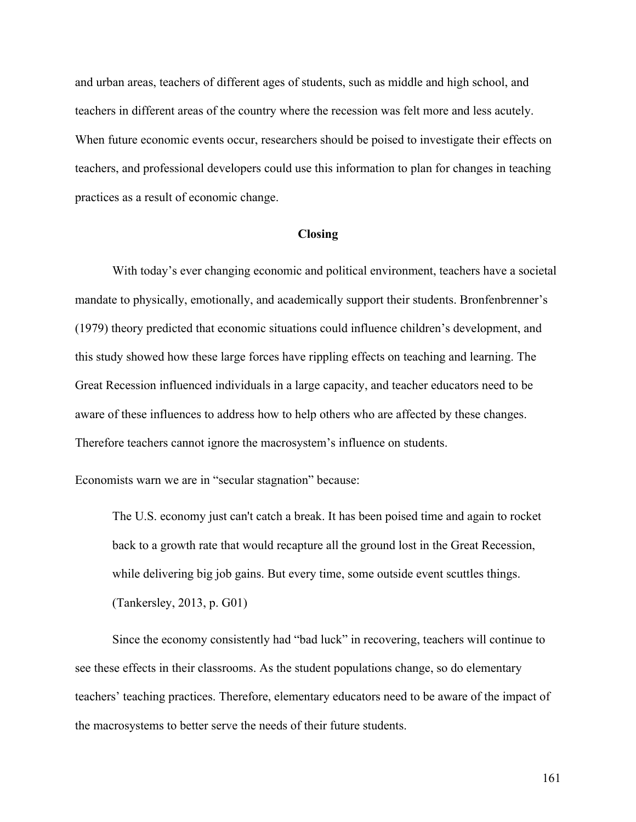and urban areas, teachers of different ages of students, such as middle and high school, and teachers in different areas of the country where the recession was felt more and less acutely. When future economic events occur, researchers should be poised to investigate their effects on teachers, and professional developers could use this information to plan for changes in teaching practices as a result of economic change.

### **Closing**

With today's ever changing economic and political environment, teachers have a societal mandate to physically, emotionally, and academically support their students. Bronfenbrenner's (1979) theory predicted that economic situations could influence children's development, and this study showed how these large forces have rippling effects on teaching and learning. The Great Recession influenced individuals in a large capacity, and teacher educators need to be aware of these influences to address how to help others who are affected by these changes. Therefore teachers cannot ignore the macrosystem's influence on students.

Economists warn we are in "secular stagnation" because:

The U.S. economy just can't catch a break. It has been poised time and again to rocket back to a growth rate that would recapture all the ground lost in the Great Recession, while delivering big job gains. But every time, some outside event scuttles things. (Tankersley, 2013, p. G01)

Since the economy consistently had "bad luck" in recovering, teachers will continue to see these effects in their classrooms. As the student populations change, so do elementary teachers' teaching practices. Therefore, elementary educators need to be aware of the impact of the macrosystems to better serve the needs of their future students.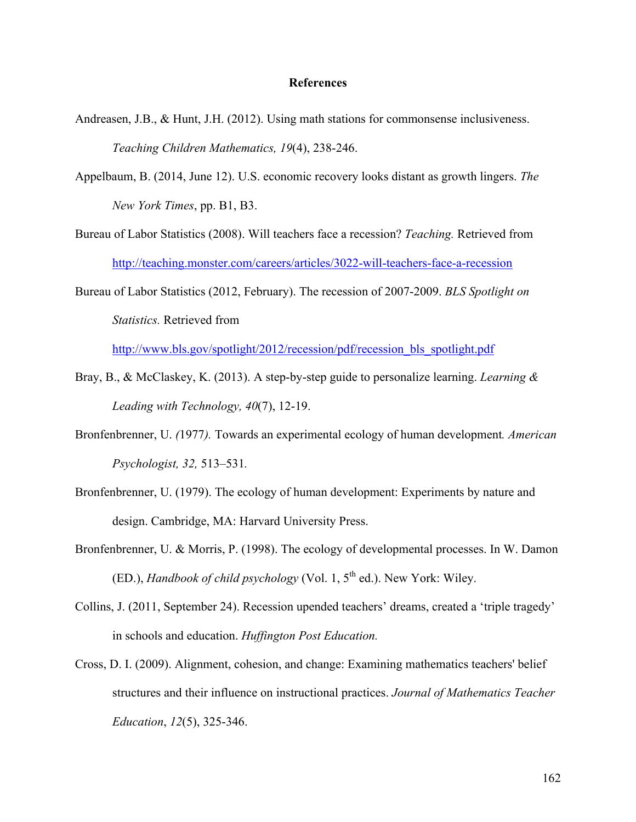### **References**

- Andreasen, J.B., & Hunt, J.H. (2012). Using math stations for commonsense inclusiveness. *Teaching Children Mathematics, 19*(4), 238-246.
- Appelbaum, B. (2014, June 12). U.S. economic recovery looks distant as growth lingers. *The New York Times*, pp. B1, B3.
- Bureau of Labor Statistics (2008). Will teachers face a recession? *Teaching.* Retrieved from http://teaching.monster.com/careers/articles/3022-will-teachers-face-a-recession
- Bureau of Labor Statistics (2012, February). The recession of 2007-2009. *BLS Spotlight on Statistics.* Retrieved from

http://www.bls.gov/spotlight/2012/recession/pdf/recession\_bls\_spotlight.pdf

- Bray, B., & McClaskey, K. (2013). A step-by-step guide to personalize learning. *Learning & Leading with Technology, 40*(7), 12-19.
- Bronfenbrenner, U. *(*1977*).* Towards an experimental ecology of human development*. American Psychologist, 32,* 513*–*531*.*
- Bronfenbrenner, U. (1979). The ecology of human development: Experiments by nature and design. Cambridge, MA: Harvard University Press.
- Bronfenbrenner, U. & Morris, P. (1998). The ecology of developmental processes. In W. Damon (ED.), *Handbook of child psychology* (Vol. 1, 5th ed.). New York: Wiley.
- Collins, J. (2011, September 24). Recession upended teachers' dreams, created a 'triple tragedy' in schools and education. *Huffington Post Education.*
- Cross, D. I. (2009). Alignment, cohesion, and change: Examining mathematics teachers' belief structures and their influence on instructional practices. *Journal of Mathematics Teacher Education*, *12*(5), 325-346.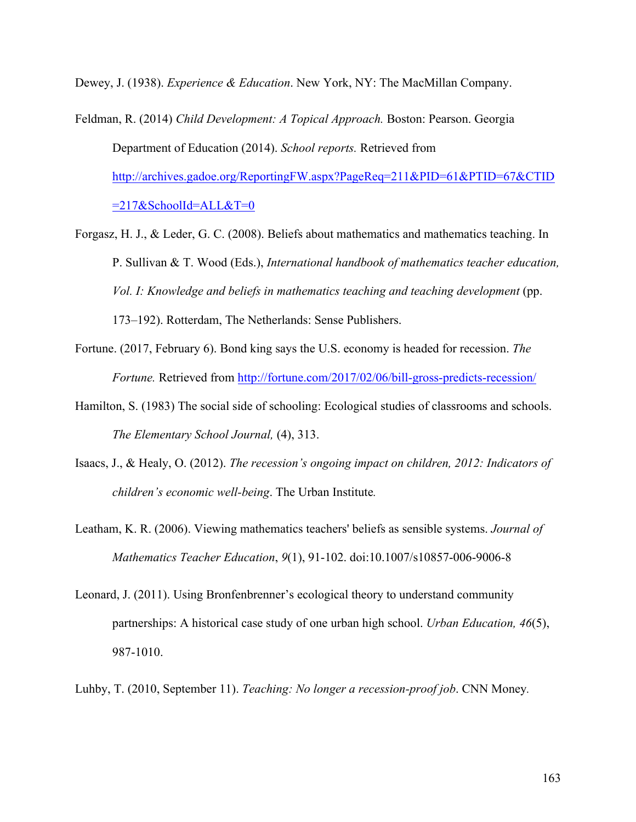Dewey, J. (1938). *Experience & Education*. New York, NY: The MacMillan Company.

- Feldman, R. (2014) *Child Development: A Topical Approach.* Boston: Pearson. Georgia Department of Education (2014). *School reports.* Retrieved from http://archives.gadoe.org/ReportingFW.aspx?PageReq=211&PID=61&PTID=67&CTID  $=217$ &SchoolId=ALL&T=0
- Forgasz, H. J., & Leder, G. C. (2008). Beliefs about mathematics and mathematics teaching. In P. Sullivan & T. Wood (Eds.), *International handbook of mathematics teacher education, Vol. I: Knowledge and beliefs in mathematics teaching and teaching development* (pp. 173–192). Rotterdam, The Netherlands: Sense Publishers.
- Fortune. (2017, February 6). Bond king says the U.S. economy is headed for recession. *The Fortune.* Retrieved from http://fortune.com/2017/02/06/bill-gross-predicts-recession/
- Hamilton, S. (1983) The social side of schooling: Ecological studies of classrooms and schools. *The Elementary School Journal,* (4), 313.
- Isaacs, J., & Healy, O. (2012). *The recession's ongoing impact on children, 2012: Indicators of children's economic well-being*. The Urban Institute*.*
- Leatham, K. R. (2006). Viewing mathematics teachers' beliefs as sensible systems. *Journal of Mathematics Teacher Education*, *9*(1), 91-102. doi:10.1007/s10857-006-9006-8
- Leonard, J. (2011). Using Bronfenbrenner's ecological theory to understand community partnerships: A historical case study of one urban high school. *Urban Education, 46*(5), 987-1010.
- Luhby, T. (2010, September 11). *Teaching: No longer a recession-proof job*. CNN Money*.*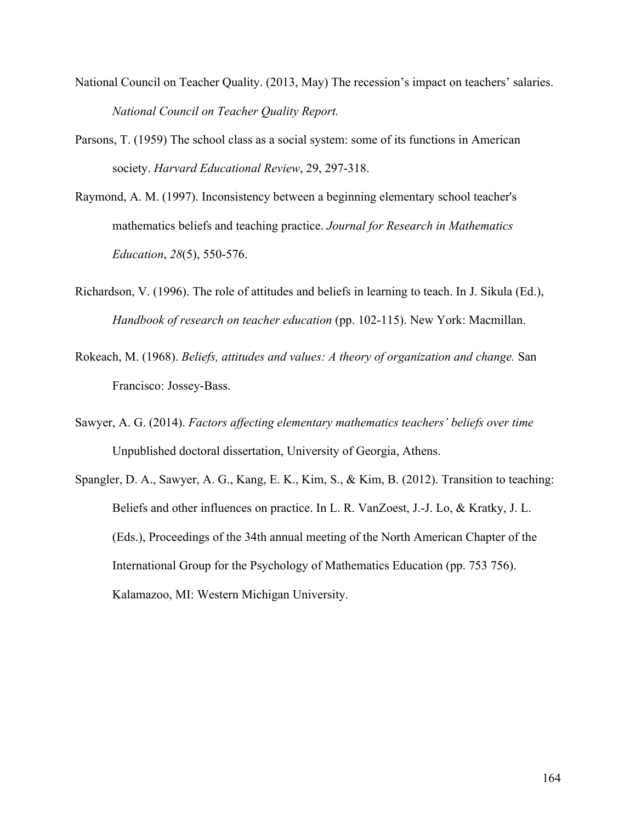- National Council on Teacher Quality. (2013, May) The recession's impact on teachers' salaries. *National Council on Teacher Quality Report.*
- Parsons, T. (1959) The school class as a social system: some of its functions in American society. *Harvard Educational Review*, 29, 297-318.
- Raymond, A. M. (1997). Inconsistency between a beginning elementary school teacher's mathematics beliefs and teaching practice. *Journal for Research in Mathematics Education*, *28*(5), 550-576.
- Richardson, V. (1996). The role of attitudes and beliefs in learning to teach. In J. Sikula (Ed.), *Handbook of research on teacher education* (pp. 102-115). New York: Macmillan.
- Rokeach, M. (1968). *Beliefs, attitudes and values: A theory of organization and change.* San Francisco: Jossey-Bass.
- Sawyer, A. G. (2014). *Factors affecting elementary mathematics teachers' beliefs over time* Unpublished doctoral dissertation, University of Georgia, Athens.
- Spangler, D. A., Sawyer, A. G., Kang, E. K., Kim, S., & Kim, B. (2012). Transition to teaching: Beliefs and other influences on practice. In L. R. VanZoest, J.-J. Lo, & Kratky, J. L. (Eds.), Proceedings of the 34th annual meeting of the North American Chapter of the International Group for the Psychology of Mathematics Education (pp. 753 756). Kalamazoo, MI: Western Michigan University.